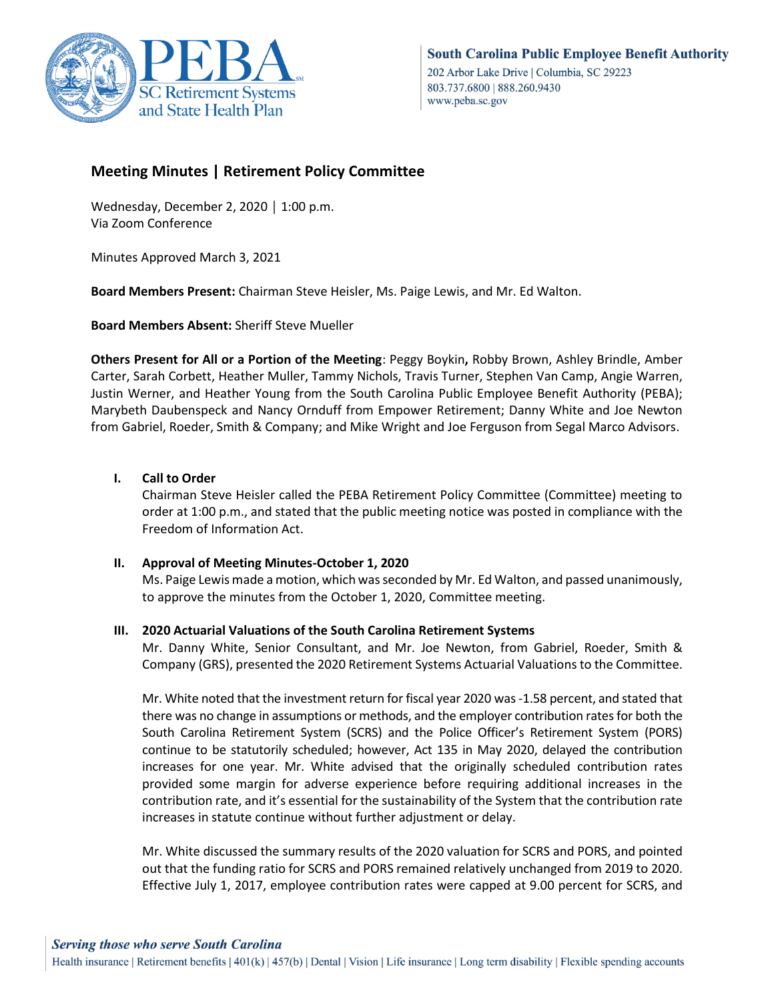

# **Meeting Minutes | Retirement Policy Committee**

Wednesday, December 2, 2020 │ 1:00 p.m. Via Zoom Conference

Minutes Approved March 3, 2021

**Board Members Present:** Chairman Steve Heisler, Ms. Paige Lewis, and Mr. Ed Walton.

**Board Members Absent:** Sheriff Steve Mueller

**Others Present for All or a Portion of the Meeting**: Peggy Boykin**,** Robby Brown, Ashley Brindle, Amber Carter, Sarah Corbett, Heather Muller, Tammy Nichols, Travis Turner, Stephen Van Camp, Angie Warren, Justin Werner, and Heather Young from the South Carolina Public Employee Benefit Authority (PEBA); Marybeth Daubenspeck and Nancy Ornduff from Empower Retirement; Danny White and Joe Newton from Gabriel, Roeder, Smith & Company; and Mike Wright and Joe Ferguson from Segal Marco Advisors.

## **I. Call to Order**

Chairman Steve Heisler called the PEBA Retirement Policy Committee (Committee) meeting to order at 1:00 p.m., and stated that the public meeting notice was posted in compliance with the Freedom of Information Act.

#### **II. Approval of Meeting Minutes-October 1, 2020**

Ms. Paige Lewis made a motion, which was seconded by Mr. Ed Walton, and passed unanimously, to approve the minutes from the October 1, 2020, Committee meeting.

#### **III. 2020 Actuarial Valuations of the South Carolina Retirement Systems**

Mr. Danny White, Senior Consultant, and Mr. Joe Newton, from Gabriel, Roeder, Smith & Company (GRS), presented the 2020 Retirement Systems Actuarial Valuations to the Committee.

Mr. White noted that the investment return for fiscal year 2020 was -1.58 percent, and stated that there was no change in assumptions or methods, and the employer contribution rates for both the South Carolina Retirement System (SCRS) and the Police Officer's Retirement System (PORS) continue to be statutorily scheduled; however, Act 135 in May 2020, delayed the contribution increases for one year. Mr. White advised that the originally scheduled contribution rates provided some margin for adverse experience before requiring additional increases in the contribution rate, and it's essential for the sustainability of the System that the contribution rate increases in statute continue without further adjustment or delay.

Mr. White discussed the summary results of the 2020 valuation for SCRS and PORS, and pointed out that the funding ratio for SCRS and PORS remained relatively unchanged from 2019 to 2020. Effective July 1, 2017, employee contribution rates were capped at 9.00 percent for SCRS, and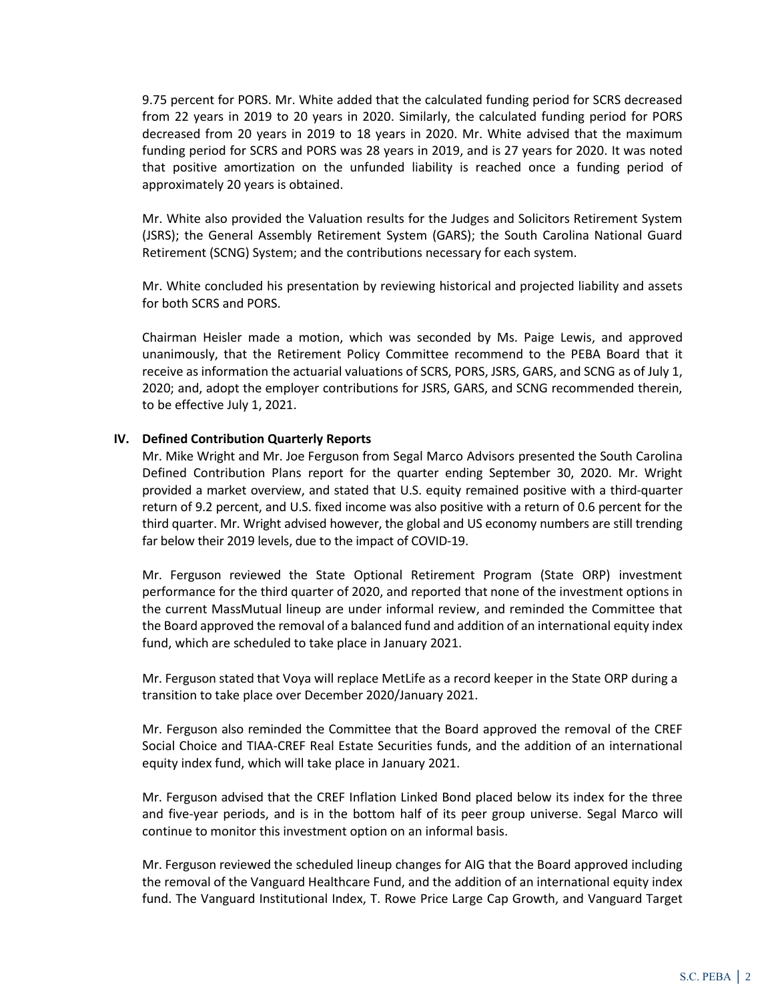9.75 percent for PORS. Mr. White added that the calculated funding period for SCRS decreased from 22 years in 2019 to 20 years in 2020. Similarly, the calculated funding period for PORS decreased from 20 years in 2019 to 18 years in 2020. Mr. White advised that the maximum funding period for SCRS and PORS was 28 years in 2019, and is 27 years for 2020. It was noted that positive amortization on the unfunded liability is reached once a funding period of approximately 20 years is obtained.

Mr. White also provided the Valuation results for the Judges and Solicitors Retirement System (JSRS); the General Assembly Retirement System (GARS); the South Carolina National Guard Retirement (SCNG) System; and the contributions necessary for each system.

Mr. White concluded his presentation by reviewing historical and projected liability and assets for both SCRS and PORS.

Chairman Heisler made a motion, which was seconded by Ms. Paige Lewis, and approved unanimously, that the Retirement Policy Committee recommend to the PEBA Board that it receive as information the actuarial valuations of SCRS, PORS, JSRS, GARS, and SCNG as of July 1, 2020; and, adopt the employer contributions for JSRS, GARS, and SCNG recommended therein, to be effective July 1, 2021.

#### **IV. Defined Contribution Quarterly Reports**

Mr. Mike Wright and Mr. Joe Ferguson from Segal Marco Advisors presented the South Carolina Defined Contribution Plans report for the quarter ending September 30, 2020. Mr. Wright provided a market overview, and stated that U.S. equity remained positive with a third-quarter return of 9.2 percent, and U.S. fixed income was also positive with a return of 0.6 percent for the third quarter. Mr. Wright advised however, the global and US economy numbers are still trending far below their 2019 levels, due to the impact of COVID-19.

Mr. Ferguson reviewed the State Optional Retirement Program (State ORP) investment performance for the third quarter of 2020, and reported that none of the investment options in the current MassMutual lineup are under informal review, and reminded the Committee that the Board approved the removal of a balanced fund and addition of an international equity index fund, which are scheduled to take place in January 2021.

Mr. Ferguson stated that Voya will replace MetLife as a record keeper in the State ORP during a transition to take place over December 2020/January 2021.

Mr. Ferguson also reminded the Committee that the Board approved the removal of the CREF Social Choice and TIAA-CREF Real Estate Securities funds, and the addition of an international equity index fund, which will take place in January 2021.

Mr. Ferguson advised that the CREF Inflation Linked Bond placed below its index for the three and five-year periods, and is in the bottom half of its peer group universe. Segal Marco will continue to monitor this investment option on an informal basis.

Mr. Ferguson reviewed the scheduled lineup changes for AIG that the Board approved including the removal of the Vanguard Healthcare Fund, and the addition of an international equity index fund. The Vanguard Institutional Index, T. Rowe Price Large Cap Growth, and Vanguard Target